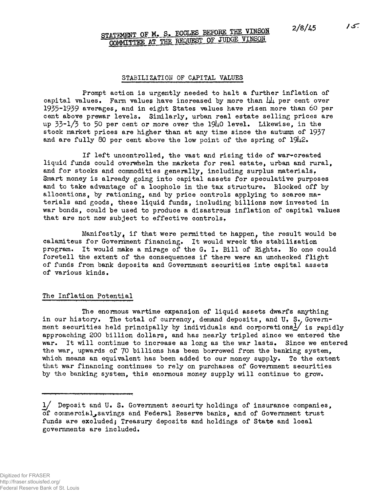$15.$ 

# STATEMENT OF M. S. ECCLES BEFORE THE VINSON 2/8/45 **COMMITTEE AT THE REQUEST OF JUDGE VINSON**

#### **STABILIZATION OF CAPITAL VALUES**

**Prompt action is urgently needed to halt a further inflation of** capital values. Farm values have increased by more than  $\mu\mu$  per cent over **1935-1939 averages, and in eight States values have risen more than 60 per cent above prewar levels. Similarly, urban real estate selling prices are up 33-1/3 to 50 per cent or more over the 19U0 level. Likewise, in the stock market prices are higher than at any time since the autumn of 1937 and are fully 80 per cent above the low point of the spring of** 19**U**2**»**

**If left uncontrolled, the vast and rising tide of war^created liquid funds could overwhelm the markets for real estate, urban and rural, and for stocks and commodities generally, including surplus materials. Smart money is already going into capital assets for speculative purposes and to take advantage of a loophole in the tax structure. Blocked off by allocations, by rationing, and by price controls applying to scarce ma~ terials and goods, these liquid funds, including billions now invested in war bonds, could be used to produce a disastrous inflation of capital values that are not now subject to effective controls***>*

**Manifestly^ if that were permitted to happen^ the result would be calamiteus for Government financing. It would wreck the stabilization program. It would make a mirage of the G. I, Bill of Sights, No one could foretell the extent of the consequences if there were an unchecked flight of funds from bank deposits and Government securities into capital assets of various kinds.**

## **The Inflation Potential**

**The enormous wartime expansion of liquid p.ssets dwarfs anything** in our history. The total of currency, demand deposits, and U, S. Government securities held principally by individuals and corporations<sup>1</sup>/ is rapidly **approaching 200 billion dollars, and has nearly tripled since we entered the war. It will continue to increase as long as the war lasts. Since we entered the war, upwards of** *JO* **billions has been borrowed from the banking system, which means an equivalent has been added to our money supply. To the extent that war financing continues to rely on purchases of Government securities** by the banking system, this enormous money supply will continue to grow.

**l/ Deposit and U. S. Government security holdings of insurance companies, of coramerciassayings and Federal Reserve banks, and of Government trust funds are excluded} Treasury deposits and holdings of State and local governments are included.**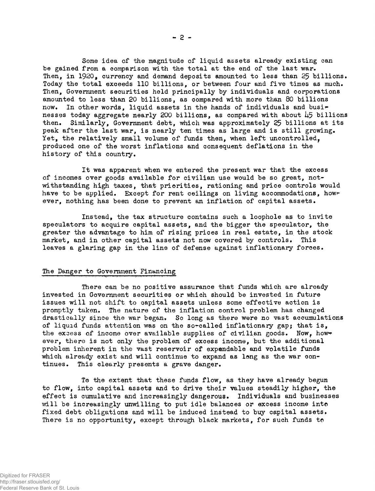**Some idea of the magnitude of liquid assets already existing can be gained from a comparison with the total at the end of the last war. Then, in 1920, currency and demand deposits amounted to less than 25 billions. Today the total exceeds 110 billions, or between four and five times as much. Then, Government securities held principally by individuals and corporations amounted to less than 20 billions, as compared with more than 80 billions** now. In other words, liquid assets in the hands of individuals and busi**nesses today aggregate nearly 200 billions, as compared with about** *b5* **billions then. Similarly, Government debt, which was approximately 25 billions at its peak after the last war, is nearly ten times as large and is still growing. Yet, the relatively small volume of funds then, when left uncontrolled, produced one of the worst inflations and consequent deflations in the history of this country.**

**It was apparent when we entered the present war that the excess** of incomes over goods available for civilian use would be so great, not**withstanding high taxes, that priorities, rationing and price controls would** have to be applied. Except for rent ceilings on living accommodations, how**ever, nothing has been done to prevent an inflation of capital assets.**

**Instead, the tax structure contains such a loophole as to invite speculators to acquire capital assets, and the bigger the speculator, the greater the advantage to him of rising prices in real estate, in the stock market, and in other capital assets not now covered by controls. This leaves a glaring gap in the line of defense against inflationary forces.**

# **The Danger to Government Financing**

**There can be no positive assurance that funds which are already invested in Government securities or which should be invested in future issues will not shift to capital assets unless some effective action is promptly taken. The nature of the inflation control problem has changed drastically since the war began. So long as there were no vast accumulations of liquid funds attention was on the so-called inflationary gap; that is,** the excess of income over available supplies of civilian goods. Now, how**ever, there is not only the problem of excess income, but the additional problem inherent in the vast reservoir of expandable and volatile funds which already exist and will continue to expand as long as the war continues. This clearly presents a grave danger.**

**To the extent that these funds flow, as they have already begun to flow, into capital assets and to drive their values steadily higher, the effect is cumulative and increasingly dangerous. Individuals and businesses will be increasingly unwilling to put idle balances or excess income into fixed debt obligations and will be induced instead to buy capital assets. There is no opportunity, except through black markets, for such funds to**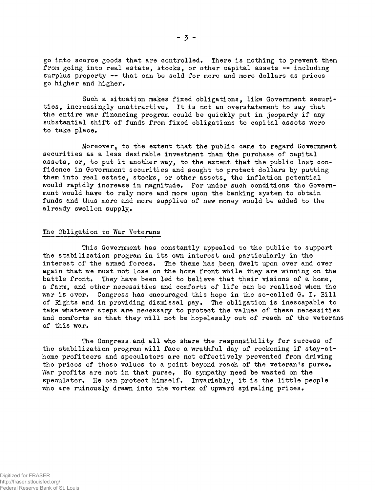**go into scarce goods that are controlled. There is nothing to prevent them from going into real estate, stocks, or other capital assets — including surplus property — that can be sold for more and more dollars as prices go higher and higher.**

**Such a situation makes fixed obligations, like Government securities, increasingly unattractive. It is not an overstatement to say that the entire war financing program could be quickly put in jeopardy if any substantial shift of funds from fixed obligations to capital assets were to take place.**

**Moreover, to the extent that the public came to regard Government securities as a less desirable investment than the purchase of capital assets, or, to put it another way, to the extent that the public lost confidence in Government securities and sought to protect dollars by putting** them into real estate, stocks, or other assets, the inflation potential **would rapidly increase in magnitude. For under such conditions the Government would have to rely more and more upon the banking system to obtain funds and thus more and more supplies of new money would be added to the already swollen supply.**

#### **The Obligation to War Veterans**

**This Government has constantly appealed to the public to support the stabilization program in its own interest and particularly in the interest of the armed forces. The theme has been dwelt upon over and over again that we must not lose on the home front while they are winning on the battle front. They have been led to believe that their visions of a home, a farm, and other necessities and comforts of life can be realized when the war is over. Congress has encouraged this hope in the so-called G. I, Bill of Rights and in providing dismissal pay. The obligation is inescapable to take whatever steps are necessary to protect the values of these necessities and comforts so that they will not be hopelessly out of reach of the veterans of this war.**

**The Congress, and all who share the responsibility for success of the stabilization program will face a wrathful day of reckoning if stay-at**home profiteers and speculators are not effectively prevented from driving **the prices of these values to a point beyond reach of the veteran's purse.** War profits are not in that purse. No sympathy need be wasted on the **speculator. He can protect himself. Invariably, it is the little people** who are ruinously drawn into the vortex of upward spiraling prices.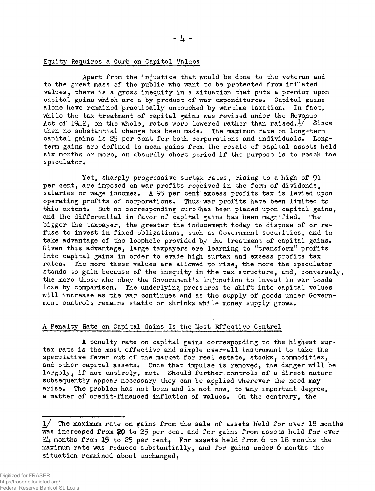#### **Equity Requires a Curb on Capital Values**

**Apart from the injustice that would be done to the veteran and to the great mass of the public who want to be protected from inflated values, there is a gross inequity in a situation that puts a premium upon capital gains which are a by-product of war expenditures. Capital gains alone have remained practically untouched by wartime taxation. In fact, while the tax treatment of capital gains was revised under the Revenue Act of 19U2, on the whole, rates were lowered rather than raised.¿/ Since then no substantial change has been made. The maximum rate on long-term capital gains is 25 per bent for both corporations and individuals. Longterm gains are defined to mean gains from the resale of capital assets held six months or more, an absurdly short period if the purpose is to reach the speculator.**

**Yet, sharply progressive surtax rates, rising to a high of 91 per cent, are imposed on war profits received in the form of dividends, salaries or wage incomes. A 95 per cent'excess profits tax is levied upon operating profits of corporations. Thus; war profits have been limited to this extent. But no corresponding curb!has been placed upon capital gains, and the differential in favor of capital gains has been magnified. The bigger the taxpayer, the greater the inducement today to dispose of or refuse to invest in fixed obligations, such as Government securities, and to take advantage of the loophole provided by the treatment of capital gains. Given this advantage, large taxpayers are learning to "transform" profits into oapital gains in order to evade high surtax and excegs profits tax rates. The more these values are allowed to rise, the more the speculator stands to gain because of the inequity in the tax structure, and, conversely, the more those who obey the Government's injunction to invest in war bonds lose by comparison. The underlying pressures to shift into capital values will increase as the war continues and as the supply of goods under Government controls remains static or shrinks while money supply grows.**

#### **A Penalty Rate on Capital Gains Is the Most Effective Control**

**A penalty rate on capital gains corresponding to the highest surtax rate is the most effective and simple over-all instrument to take the speculative fever out of the market for real estate, stocks, commodities, and other capital assets. Once that impulse is removed, the danger will be largely, if not entirely, met. Should further controls of a direct nature subsequently appear necessary they can be applied wherever the need may** arise. The problem has not been and is not now, to any important degree. **a matter of credit-financed inflation of values. On the contrary, the**

*l/* **The maximum rate on gains from the sale of assets held for over 18 months was increased from ?0 to** 25 **per cent and for gains from assets held for over** *2b* **months from** *15* **to 25 per centj For assets held from 6 to 18 months the maximum rate was reduced substantially, and for gains under 6 months the** situation remained about unchanged.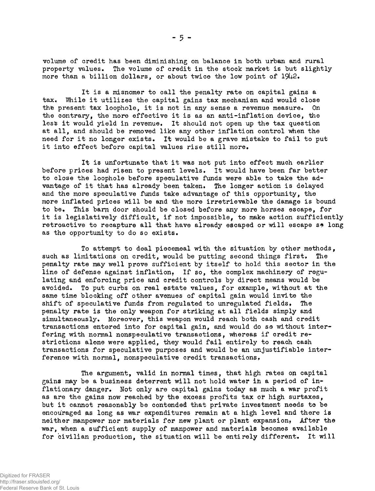**volume of credit has been diminishing on balance in both urban and rural property values. The volume of credit in the stock market is but slightly more than a billion dollars, or about twice the low point of** 19**U**2**.**

**It is a misnomer to call the penalty rate on capital gains a tax, While it utilizes the capital gains tax mechanism and would close** the present tax loophole, it is not in any sense a revenue measure. On **the contrary, the more effective it is as an anti-inf1ation device, the less it would yield in revenue. It should not open up the tax question at all, and should be removed like any other inflation control when the need for it no longer exists. It would be a grave mistake to fail to put it into effect before capital values rise still more,**

**It is unfortunate that it was not put into effect much earlier before prices had risen to present levels. It would have been far better to close the loophole before speculative funds were able to take the advantage of it that has already been taken. The longer action is delayed and the more speculative funds take advantage of this opportunity, the more inflated prices will be and the more irretrievable the damage is bound to be. This barn door should be closed before any more horses escape, for it is legislatively difficult, if not impossible, to make action sufficiently** retroactive to recapture all that have already escaped or will escape s<sup>\*</sup> long **as the opportunity to do so exists.**

**To attempt to deal piecemeal with the situation by other methods, such as limitations on credit, would be putting second things first. The penalty rate may well prove sufficient by itself to hold this sector in the** line of defense against inflation, If so, the complex machinery of regu**lating and enforcing price and credit controls by direct means would be avoided. To put curbs on real estate values, for example, without at the same time blocking off other avenues of capital gain would invite the** shift of speculative funds from regulated to unregulated fields. The **penalty rate is the only weapon for striking at all fields simply and simultaneously. Moreover, this weapon would reach both cash and credit transactions entered into for capital gain, and would do so without inter**fering with normal nonspeculative transactions, whereas if credit re**strictions alone were applied, they would fail entirely to reach cash transactions for speculative purposes and would be an unjustifiable interference with normal, nonspeculative credit transactions,**

**The argument, valid in normal times, that high rates on capital gains may be a business deterrent will not hold water in a period of inflationary danger. Not only are capital gains today ae much a war profit as are the gains now reached by the excess profits tax oir high surtaxes, but it cannot reasonably be contended that private investment needs to be encouraged as long as war expenditures remain at a high level and there is neither manpower nor materials for new plant or plant expansion\* After the war, when a sufficient supply of manpower and materials becomes available for civilian production, the situation will be entirely different. It will**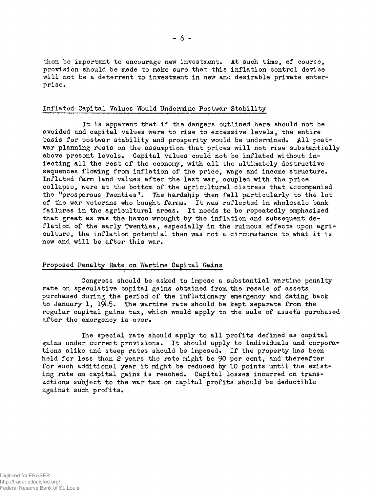#### **Inflated Capital Values Would Undermine Postwar Stability**

**It is apparent that if the dangers outlined here should not be avoided and capital values were to rise to excessive levels, the entire basis for postwar stability and prosperity would be undermined. All postwar planning rests on the assumption that prices xvill not rise substantially above present levels. Capital values could not be inflated without infecting all the rest of the economy, with all the ultimately destructive sequences flowing from inflation of the price, wage and income structure. Inflated farm land values after the last war, coupled with the price collapse, were at the bottom of the agricultural distress that accompanied the "prosperous Twenties". The hardship then fell particularly to the lot of the war veterans who bought farms. It was reflected in wholesale bank failures in the agricultural areas. It needs to be repeatedly emphasized that great as was the havoc wrought by the inflation and subsequent deflation of the early Twenties, especially in the ruinous effects upon agrir culture, the inflation potential then was not a circumstance to what it is now and will be after this war.**

# **Proposed Penalty Rate on Wartime Capital Gains**

**Congress should be asked to impose a substantial wartime penalty rate on speculative capital gains obtained from the resale of assets purchased during the period of the inflationary emergency and dating back** to January 1, 1945. The wartime rate should be kept separate from the **regular capital gains tax, which would apply to the sale of assets purchased after the emergency is over.**

**The special rate should apply to all profits defined as capital gains under current provisions. It should apply to individuals and corpora\* tions alike and steep rates should be imposed\* If the property has been held for less than 2 years the rate might be** 90 **per cent, and thereafter for each additional year it might be reduced by 10 points until the exist**ing rate on capital gains is reached. Capital losses incurred on trans**actions subject to the war tax on capital profits should be deductible against such profits.**